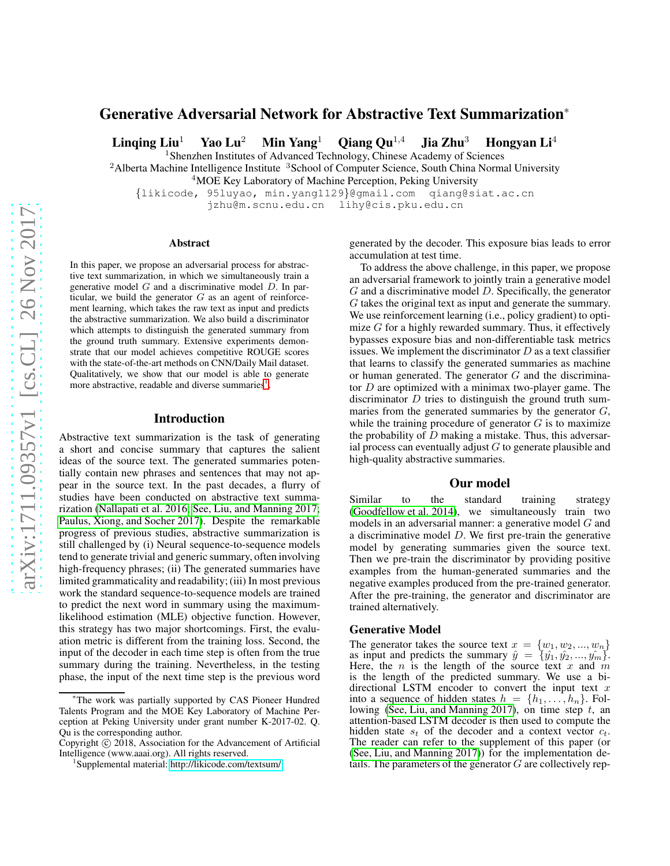# Generative Adversarial Network for Abstractive Text Summarization<sup>∗</sup>

Linging Liu<sup>1</sup> Yao Lu<sup>2</sup> Min Yang<sup>1</sup> Qiang Qu<sup>1,4</sup> Jia Zhu<sup>3</sup> Hongyan Li<sup>4</sup>

<sup>1</sup> Shenzhen Institutes of Advanced Technology, Chinese Academy of Sciences <sup>2</sup> Alberta Machine Intelligence Institute <sup>3</sup> School of Computer Science, South China Normal University

<sup>4</sup>MOE Key Laboratory of Machine Perception, Peking University

{likicode, 95luyao, min.yang1129}@gmail.com qiang@siat.ac.cn jzhu@m.scnu.edu.cn lihy@cis.pku.edu.cn

#### Abstract

In this paper, we propose an adversarial process for abstractive text summarization, in which we simultaneously train a generative model  $G$  and a discriminative model  $D$ . In particular, we build the generator  $G$  as an agent of reinforcement learning, which takes the raw text as input and predicts the abstractive summarization. We also build a discriminator which attempts to distinguish the generated summary from the ground truth summary. Extensive experiments demonstrate that our model achieves competitive ROUGE scores with the state-of-the-art methods on CNN/Daily Mail dataset. Qualitatively, we show that our model is able to generate more abstractive, readable and diverse summaries<sup>[1](#page-0-0)</sup>.

### Introduction

Abstractive text summarization is the task of generating a short and concise summary that captures the salient ideas of the source text. The generated summaries potentially contain new phrases and sentences that may not appear in the source text. In the past decades, a flurry of studies have been conducted on abstractive text summarization [\(Nallapati et al. 2016;](#page-1-0) [See, Liu, and Manning 2017;](#page-2-0) [Paulus, Xiong, and Socher 2017\)](#page-1-1). Despite the remarkable progress of previous studies, abstractive summarization is still challenged by (i) Neural sequence-to-sequence models tend to generate trivial and generic summary, often involving high-frequency phrases; (ii) The generated summaries have limited grammaticality and readability; (iii) In most previous work the standard sequence-to-sequence models are trained to predict the next word in summary using the maximumlikelihood estimation (MLE) objective function. However, this strategy has two major shortcomings. First, the evaluation metric is different from the training loss. Second, the input of the decoder in each time step is often from the true summary during the training. Nevertheless, in the testing phase, the input of the next time step is the previous word

generated by the decoder. This exposure bias leads to error accumulation at test time.

To address the above challenge, in this paper, we propose an adversarial framework to jointly train a generative model  $G$  and a discriminative model  $D$ . Specifically, the generator G takes the original text as input and generate the summary. We use reinforcement learning (i.e., policy gradient) to optimize  $G$  for a highly rewarded summary. Thus, it effectively bypasses exposure bias and non-differentiable task metrics issues. We implement the discriminator  $D$  as a text classifier that learns to classify the generated summaries as machine or human generated. The generator  $G$  and the discriminator  $D$  are optimized with a minimax two-player game. The discriminator  $D$  tries to distinguish the ground truth summaries from the generated summaries by the generator  $G$ , while the training procedure of generator  $G$  is to maximize the probability of  $D$  making a mistake. Thus, this adversarial process can eventually adjust  $G$  to generate plausible and high-quality abstractive summaries.

## Our model

Similar to the standard training strategy [\(Goodfellow et al. 2014\)](#page-1-2), we simultaneously train two models in an adversarial manner: a generative model  $G$  and a discriminative model D. We first pre-train the generative model by generating summaries given the source text. Then we pre-train the discriminator by providing positive examples from the human-generated summaries and the negative examples produced from the pre-trained generator. After the pre-training, the generator and discriminator are trained alternatively.

# Generative Model

The generator takes the source text  $x = \{w_1, w_2, ..., w_n\}$ as input and predicts the summary  $\hat{y} = \{ \hat{y}_1, \hat{y}_2, ..., \hat{y}_m \}.$ Here, the n is the length of the source text x and m is the length of the predicted summary. We use a bidirectional LSTM encoder to convert the input text  $x$ into a sequence of hidden states  $h = \{h_1, \ldots, h_n\}$ . Fol-lowing [\(See, Liu, and Manning 2017\)](#page-2-0), on time step  $t$ , an attention-based LSTM decoder is then used to compute the hidden state  $s_t$  of the decoder and a context vector  $c_t$ . The reader can refer to the supplement of this paper (or [\(See, Liu, and Manning 2017\)](#page-2-0)) for the implementation details. The parameters of the generator  $G$  are collectively rep-

The work was partially supported by CAS Pioneer Hundred Talents Program and the MOE Key Laboratory of Machine Perception at Peking University under grant number K-2017-02. Q. Qu is the corresponding author.

Copyright © 2018, Association for the Advancement of Artificial Intelligence (www.aaai.org). All rights reserved.

<span id="page-0-0"></span><sup>1</sup> Supplemental material:<http://likicode.com/textsum/>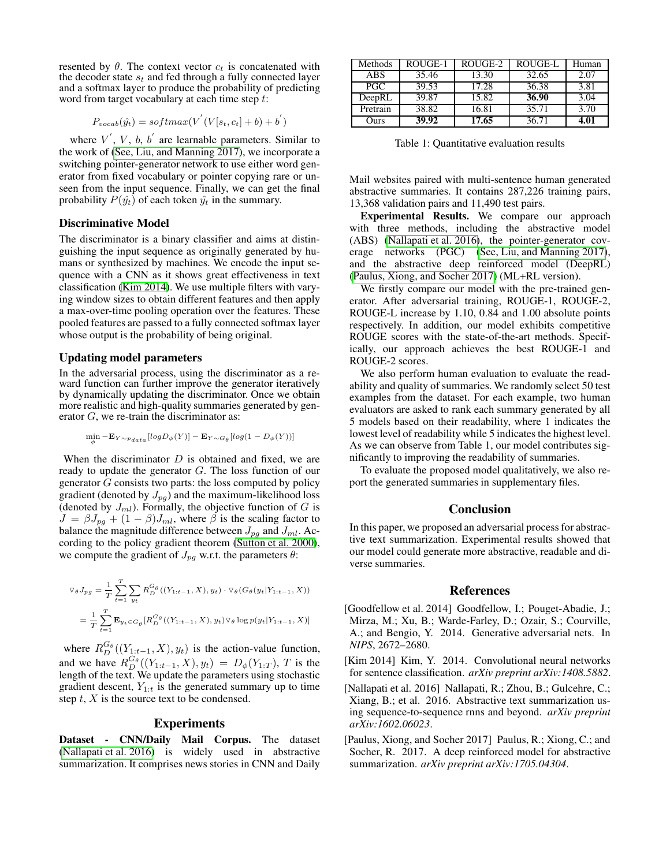resented by  $\theta$ . The context vector  $c_t$  is concatenated with the decoder state  $s_t$  and fed through a fully connected layer and a softmax layer to produce the probability of predicting word from target vocabulary at each time step t:

$$
P_{vocab}(\hat{y_t}) = softmax(V^{'}(V[s_t, c_t] + b) + b^{'})
$$

where  $V'$ ,  $V$ ,  $b$ ,  $b'$  are learnable parameters. Similar to the work of (See, Liu, and Manning  $2017$ ), we incorporate a switching pointer-generator network to use either word generator from fixed vocabulary or pointer copying rare or unseen from the input sequence. Finally, we can get the final probability  $P(\hat{y}_t)$  of each token  $\hat{y}_t$  in the summary.

# Discriminative Model

The discriminator is a binary classifier and aims at distinguishing the input sequence as originally generated by humans or synthesized by machines. We encode the input sequence with a CNN as it shows great effectiveness in text classification [\(Kim 2014\)](#page-1-3). We use multiple filters with varying window sizes to obtain different features and then apply a max-over-time pooling operation over the features. These pooled features are passed to a fully connected softmax layer whose output is the probability of being original.

### Updating model parameters

In the adversarial process, using the discriminator as a reward function can further improve the generator iteratively by dynamically updating the discriminator. Once we obtain more realistic and high-quality summaries generated by generator  $G$ , we re-train the discriminator as:

$$
\min_{\phi} -\mathbf{E}_{Y \sim p_{data}}[log D_{\phi}(Y)] - \mathbf{E}_{Y \sim G_{\theta}}[log(1 - D_{\phi}(Y))]
$$

When the discriminator  $D$  is obtained and fixed, we are ready to update the generator G. The loss function of our generator  $G$  consists two parts: the loss computed by policy gradient (denoted by  $J_{pq}$ ) and the maximum-likelihood loss (denoted by  $J_{ml}$ ). Formally, the objective function of G is  $J = \beta J_{pg} + (1 - \beta)J_{ml}$ , where  $\beta$  is the scaling factor to balance the magnitude difference between  $J_{pg}$  and  $J_{ml}$ . According to the policy gradient theorem [\(Sutton et al. 2000\)](#page-2-1), we compute the gradient of  $J_{pg}$  w.r.t. the parameters  $\theta$ :

$$
\nabla_{\theta} J_{pg} = \frac{1}{T} \sum_{t=1}^{T} \sum_{y_t} R_D^{G_{\theta}} ((Y_{1:t-1}, X), y_t) \cdot \nabla_{\theta} (G_{\theta}(y_t | Y_{1:t-1}, X))
$$
  
= 
$$
\frac{1}{T} \sum_{t=1}^{T} \mathbf{E}_{y_t \in G_{\theta}} [R_D^{G_{\theta}}((Y_{1:t-1}, X), y_t) \nabla_{\theta} \log p(y_t | Y_{1:t-1}, X)]
$$

where  $R_{D}^{G_{\theta}}((Y_{1:t-1}, X), y_t)$  is the action-value function, and we have  $R_{D}^{G_{\theta}}((Y_{1:t-1}, X), y_t) = D_{\phi}(Y_{1:T}), T$  is the length of the text. We update the parameters using stochastic gradient descent,  $Y_{1:t}$  is the generated summary up to time step  $t$ ,  $X$  is the source text to be condensed.

# Experiments

Dataset - CNN/Daily Mail Corpus. The dataset [\(Nallapati et al. 2016\)](#page-1-0) is widely used in abstractive summarization. It comprises news stories in CNN and Daily

| Methods    | ROUGE-1 | ROUGE-2 | ROUGE-L | Human |
|------------|---------|---------|---------|-------|
| <b>ABS</b> | 35.46   | 13.30   | 32.65   | 2.07  |
| PGC.       | 39.53   | 17.28   | 36.38   | 3.81  |
| DeepRL     | 39.87   | 15.82   | 36.90   | 3.04  |
| Pretrain   | 38.82   | 16.81   | 35.71   | 3.70  |
| Durs)      | 39.92   | 17.65   | 36.71   | 4.01  |

Table 1: Quantitative evaluation results

Mail websites paired with multi-sentence human generated abstractive summaries. It contains 287,226 training pairs, 13,368 validation pairs and 11,490 test pairs.

Experimental Results. We compare our approach with three methods, including the abstractive model (ABS) [\(Nallapati et al. 2016\)](#page-1-0), the pointer-generator coverage networks (PGC) [\(See, Liu, and Manning 2017\)](#page-2-0), and the abstractive deep reinforced model (DeepRL) [\(Paulus, Xiong, and Socher 2017\)](#page-1-1) (ML+RL version).

We firstly compare our model with the pre-trained generator. After adversarial training, ROUGE-1, ROUGE-2, ROUGE-L increase by 1.10, 0.84 and 1.00 absolute points respectively. In addition, our model exhibits competitive ROUGE scores with the state-of-the-art methods. Specifically, our approach achieves the best ROUGE-1 and ROUGE-2 scores.

We also perform human evaluation to evaluate the readability and quality of summaries. We randomly select 50 test examples from the dataset. For each example, two human evaluators are asked to rank each summary generated by all 5 models based on their readability, where 1 indicates the lowest level of readability while 5 indicates the highest level. As we can observe from Table 1, our model contributes significantly to improving the readability of summaries.

To evaluate the proposed model qualitatively, we also report the generated summaries in supplementary files.

## Conclusion

In this paper, we proposed an adversarial process for abstractive text summarization. Experimental results showed that our model could generate more abstractive, readable and diverse summaries.

### References

- <span id="page-1-2"></span>[Goodfellow et al. 2014] Goodfellow, I.; Pouget-Abadie, J.; Mirza, M.; Xu, B.; Warde-Farley, D.; Ozair, S.; Courville, A.; and Bengio, Y. 2014. Generative adversarial nets. In *NIPS*, 2672–2680.
- <span id="page-1-3"></span>[Kim 2014] Kim, Y. 2014. Convolutional neural networks for sentence classification. *arXiv preprint arXiv:1408.5882*.
- <span id="page-1-0"></span>[Nallapati et al. 2016] Nallapati, R.; Zhou, B.; Gulcehre, C.; Xiang, B.; et al. 2016. Abstractive text summarization using sequence-to-sequence rnns and beyond. *arXiv preprint arXiv:1602.06023*.
- <span id="page-1-1"></span>[Paulus, Xiong, and Socher 2017] Paulus, R.; Xiong, C.; and Socher, R. 2017. A deep reinforced model for abstractive summarization. *arXiv preprint arXiv:1705.04304*.